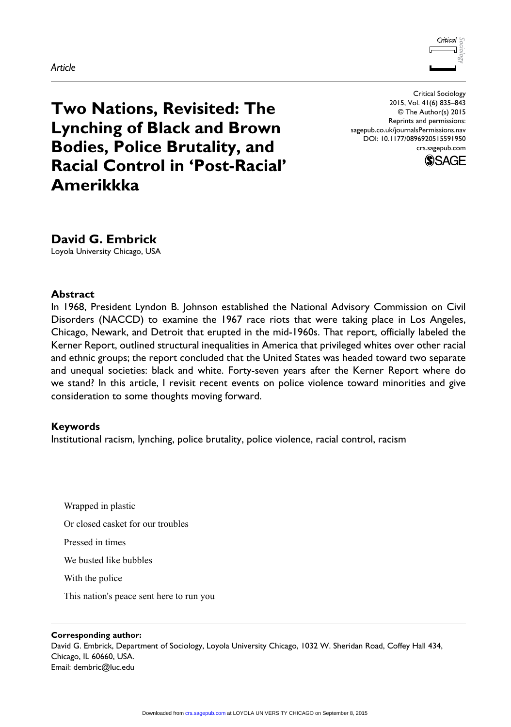#### *Article*



**Two Nations, Revisited: The Lynching of Black and Brown Bodies, Police Brutality, and Racial Control in 'Post-Racial' Amerikkka**

Critical Sociology 2015, Vol. 41(6) 835–843 © The Author(s) 2015 Reprints and permissions: sagepub.co.uk/journalsPermissions.nav DOI: 10.1177/0896920515591950 crs.sagepub.com



# **David G. Embrick**

Loyola University Chicago, USA

### **Abstract**

In 1968, President Lyndon B. Johnson established the National Advisory Commission on Civil Disorders (NACCD) to examine the 1967 race riots that were taking place in Los Angeles, Chicago, Newark, and Detroit that erupted in the mid-1960s. That report, officially labeled the Kerner Report, outlined structural inequalities in America that privileged whites over other racial and ethnic groups; the report concluded that the United States was headed toward two separate and unequal societies: black and white. Forty-seven years after the Kerner Report where do we stand? In this article, I revisit recent events on police violence toward minorities and give consideration to some thoughts moving forward.

### **Keywords**

Institutional racism, lynching, police brutality, police violence, racial control, racism

Wrapped in plastic Or closed casket for our troubles Pressed in times We busted like bubbles With the police This nation's peace sent here to run you

#### **Corresponding author:**

David G. Embrick, Department of Sociology, Loyola University Chicago, 1032 W. Sheridan Road, Coffey Hall 434, Chicago, IL 60660, USA. Email: [dembric@luc.edu](mailto:dembric@luc.edu)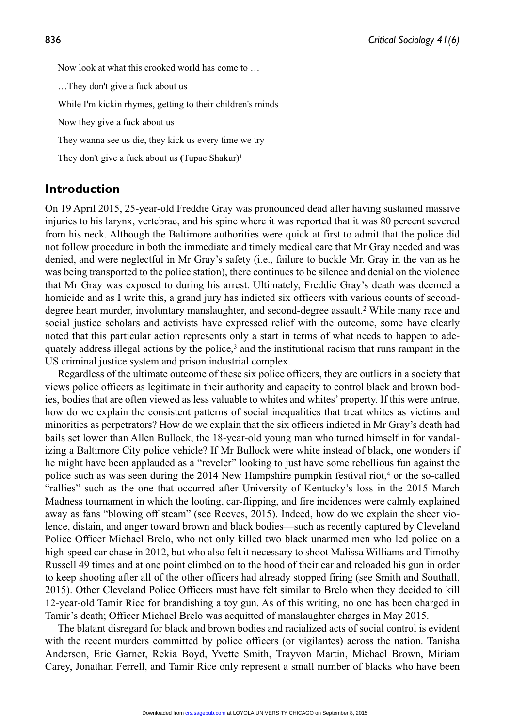Now look at what this crooked world has come to …

…They don't give a fuck about us

While I'm kickin rhymes, getting to their children's minds

Now they give a fuck about us

They wanna see us die, they kick us every time we try

They don't give a fuck about us **(**Tupac Shakur)1

### **Introduction**

On 19 April 2015, 25-year-old Freddie Gray was pronounced dead after having sustained massive injuries to his larynx, vertebrae, and his spine where it was reported that it was 80 percent severed from his neck. Although the Baltimore authorities were quick at first to admit that the police did not follow procedure in both the immediate and timely medical care that Mr Gray needed and was denied, and were neglectful in Mr Gray's safety (i.e., failure to buckle Mr. Gray in the van as he was being transported to the police station), there continues to be silence and denial on the violence that Mr Gray was exposed to during his arrest. Ultimately, Freddie Gray's death was deemed a homicide and as I write this, a grand jury has indicted six officers with various counts of seconddegree heart murder, involuntary manslaughter, and second-degree assault.2 While many race and social justice scholars and activists have expressed relief with the outcome, some have clearly noted that this particular action represents only a start in terms of what needs to happen to adequately address illegal actions by the police,3 and the institutional racism that runs rampant in the US criminal justice system and prison industrial complex.

Regardless of the ultimate outcome of these six police officers, they are outliers in a society that views police officers as legitimate in their authority and capacity to control black and brown bodies, bodies that are often viewed as less valuable to whites and whites' property. If this were untrue, how do we explain the consistent patterns of social inequalities that treat whites as victims and minorities as perpetrators? How do we explain that the six officers indicted in Mr Gray's death had bails set lower than Allen Bullock, the 18-year-old young man who turned himself in for vandalizing a Baltimore City police vehicle? If Mr Bullock were white instead of black, one wonders if he might have been applauded as a "reveler" looking to just have some rebellious fun against the police such as was seen during the 2014 New Hampshire pumpkin festival riot,4 or the so-called "rallies" such as the one that occurred after University of Kentucky's loss in the 2015 March Madness tournament in which the looting, car-flipping, and fire incidences were calmly explained away as fans "blowing off steam" (see Reeves, 2015). Indeed, how do we explain the sheer violence, distain, and anger toward brown and black bodies—such as recently captured by Cleveland Police Officer Michael Brelo, who not only killed two black unarmed men who led police on a high-speed car chase in 2012, but who also felt it necessary to shoot Malissa Williams and Timothy Russell 49 times and at one point climbed on to the hood of their car and reloaded his gun in order to keep shooting after all of the other officers had already stopped firing (see Smith and Southall, 2015). Other Cleveland Police Officers must have felt similar to Brelo when they decided to kill 12-year-old Tamir Rice for brandishing a toy gun. As of this writing, no one has been charged in Tamir's death; Officer Michael Brelo was acquitted of manslaughter charges in May 2015.

The blatant disregard for black and brown bodies and racialized acts of social control is evident with the recent murders committed by police officers (or vigilantes) across the nation. Tanisha Anderson, Eric Garner, Rekia Boyd, Yvette Smith, Trayvon Martin, Michael Brown, Miriam Carey, Jonathan Ferrell, and Tamir Rice only represent a small number of blacks who have been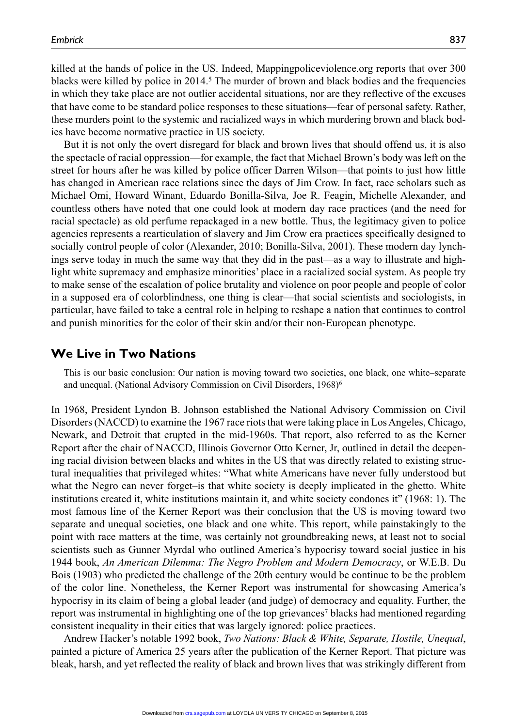killed at the hands of police in the US. Indeed, Mappingpoliceviolence.org reports that over 300 blacks were killed by police in 2014.<sup>5</sup> The murder of brown and black bodies and the frequencies in which they take place are not outlier accidental situations, nor are they reflective of the excuses that have come to be standard police responses to these situations—fear of personal safety. Rather, these murders point to the systemic and racialized ways in which murdering brown and black bodies have become normative practice in US society.

But it is not only the overt disregard for black and brown lives that should offend us, it is also the spectacle of racial oppression—for example, the fact that Michael Brown's body was left on the street for hours after he was killed by police officer Darren Wilson—that points to just how little has changed in American race relations since the days of Jim Crow. In fact, race scholars such as Michael Omi, Howard Winant, Eduardo Bonilla-Silva, Joe R. Feagin, Michelle Alexander, and countless others have noted that one could look at modern day race practices (and the need for racial spectacle) as old perfume repackaged in a new bottle. Thus, the legitimacy given to police agencies represents a rearticulation of slavery and Jim Crow era practices specifically designed to socially control people of color (Alexander, 2010; Bonilla-Silva, 2001). These modern day lynchings serve today in much the same way that they did in the past—as a way to illustrate and highlight white supremacy and emphasize minorities' place in a racialized social system. As people try to make sense of the escalation of police brutality and violence on poor people and people of color in a supposed era of colorblindness, one thing is clear—that social scientists and sociologists, in particular, have failed to take a central role in helping to reshape a nation that continues to control and punish minorities for the color of their skin and/or their non-European phenotype.

## **We Live in Two Nations**

This is our basic conclusion: Our nation is moving toward two societies, one black, one white–separate and unequal. (National Advisory Commission on Civil Disorders, 1968)<sup>6</sup>

In 1968, President Lyndon B. Johnson established the National Advisory Commission on Civil Disorders (NACCD) to examine the 1967 race riots that were taking place in Los Angeles, Chicago, Newark, and Detroit that erupted in the mid-1960s. That report, also referred to as the Kerner Report after the chair of NACCD, Illinois Governor Otto Kerner, Jr, outlined in detail the deepening racial division between blacks and whites in the US that was directly related to existing structural inequalities that privileged whites: "What white Americans have never fully understood but what the Negro can never forget–is that white society is deeply implicated in the ghetto. White institutions created it, white institutions maintain it, and white society condones it" (1968: 1). The most famous line of the Kerner Report was their conclusion that the US is moving toward two separate and unequal societies, one black and one white. This report, while painstakingly to the point with race matters at the time, was certainly not groundbreaking news, at least not to social scientists such as Gunner Myrdal who outlined America's hypocrisy toward social justice in his 1944 book, *An American Dilemma: The Negro Problem and Modern Democracy*, or W.E.B. Du Bois (1903) who predicted the challenge of the 20th century would be continue to be the problem of the color line. Nonetheless, the Kerner Report was instrumental for showcasing America's hypocrisy in its claim of being a global leader (and judge) of democracy and equality. Further, the report was instrumental in highlighting one of the top grievances<sup>7</sup> blacks had mentioned regarding consistent inequality in their cities that was largely ignored: police practices.

Andrew Hacker's notable 1992 book, *Two Nations: Black & White, Separate, Hostile, Unequal*, painted a picture of America 25 years after the publication of the Kerner Report. That picture was bleak, harsh, and yet reflected the reality of black and brown lives that was strikingly different from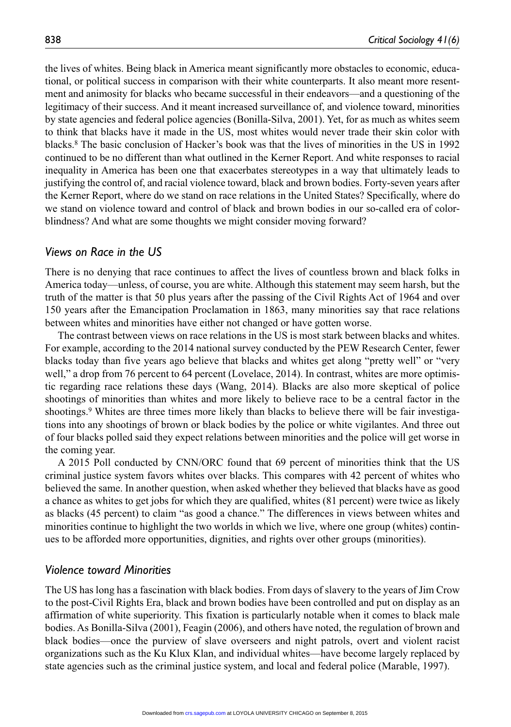the lives of whites. Being black in America meant significantly more obstacles to economic, educational, or political success in comparison with their white counterparts. It also meant more resentment and animosity for blacks who became successful in their endeavors—and a questioning of the legitimacy of their success. And it meant increased surveillance of, and violence toward, minorities by state agencies and federal police agencies (Bonilla-Silva, 2001). Yet, for as much as whites seem to think that blacks have it made in the US, most whites would never trade their skin color with blacks.8 The basic conclusion of Hacker's book was that the lives of minorities in the US in 1992 continued to be no different than what outlined in the Kerner Report. And white responses to racial inequality in America has been one that exacerbates stereotypes in a way that ultimately leads to justifying the control of, and racial violence toward, black and brown bodies. Forty-seven years after the Kerner Report, where do we stand on race relations in the United States? Specifically, where do we stand on violence toward and control of black and brown bodies in our so-called era of colorblindness? And what are some thoughts we might consider moving forward?

#### *Views on Race in the US*

There is no denying that race continues to affect the lives of countless brown and black folks in America today—unless, of course, you are white. Although this statement may seem harsh, but the truth of the matter is that 50 plus years after the passing of the Civil Rights Act of 1964 and over 150 years after the Emancipation Proclamation in 1863, many minorities say that race relations between whites and minorities have either not changed or have gotten worse.

The contrast between views on race relations in the US is most stark between blacks and whites. For example, according to the 2014 national survey conducted by the PEW Research Center, fewer blacks today than five years ago believe that blacks and whites get along "pretty well" or "very well," a drop from 76 percent to 64 percent (Lovelace, 2014). In contrast, whites are more optimistic regarding race relations these days (Wang, 2014). Blacks are also more skeptical of police shootings of minorities than whites and more likely to believe race to be a central factor in the shootings.9 Whites are three times more likely than blacks to believe there will be fair investigations into any shootings of brown or black bodies by the police or white vigilantes. And three out of four blacks polled said they expect relations between minorities and the police will get worse in the coming year.

A 2015 Poll conducted by CNN/ORC found that 69 percent of minorities think that the US criminal justice system favors whites over blacks. This compares with 42 percent of whites who believed the same. In another question, when asked whether they believed that blacks have as good a chance as whites to get jobs for which they are qualified, whites (81 percent) were twice as likely as blacks (45 percent) to claim "as good a chance." The differences in views between whites and minorities continue to highlight the two worlds in which we live, where one group (whites) continues to be afforded more opportunities, dignities, and rights over other groups (minorities).

### *Violence toward Minorities*

The US has long has a fascination with black bodies. From days of slavery to the years of Jim Crow to the post-Civil Rights Era, black and brown bodies have been controlled and put on display as an affirmation of white superiority. This fixation is particularly notable when it comes to black male bodies. As Bonilla-Silva (2001), Feagin (2006), and others have noted, the regulation of brown and black bodies—once the purview of slave overseers and night patrols, overt and violent racist organizations such as the Ku Klux Klan, and individual whites—have become largely replaced by state agencies such as the criminal justice system, and local and federal police (Marable, 1997).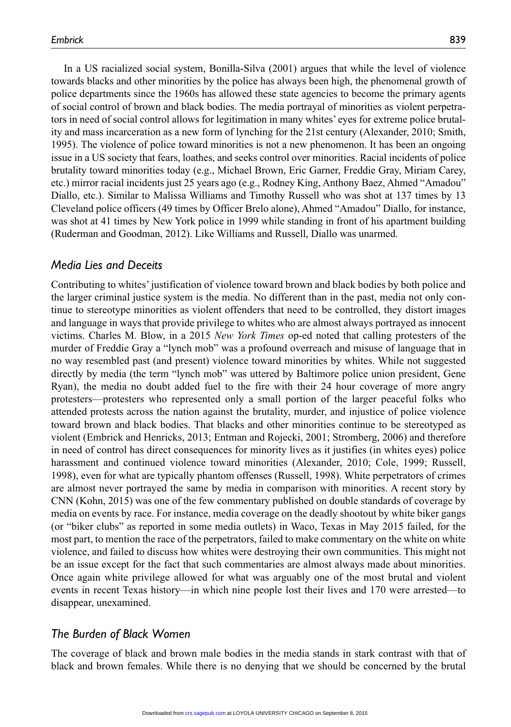In a US racialized social system, Bonilla-Silva (2001) argues that while the level of violence towards blacks and other minorities by the police has always been high, the phenomenal growth of police departments since the 1960s has allowed these state agencies to become the primary agents of social control of brown and black bodies. The media portrayal of minorities as violent perpetrators in need of social control allows for legitimation in many whites' eyes for extreme police brutality and mass incarceration as a new form of lynching for the 21st century (Alexander, 2010; Smith, 1995). The violence of police toward minorities is not a new phenomenon. It has been an ongoing issue in a US society that fears, loathes, and seeks control over minorities. Racial incidents of police brutality toward minorities today (e.g., Michael Brown, Eric Garner, Freddie Gray, Miriam Carey, etc.) mirror racial incidents just 25 years ago (e.g., Rodney King, Anthony Baez, Ahmed "Amadou" Diallo, etc.). Similar to Malissa Williams and Timothy Russell who was shot at 137 times by 13 Cleveland police officers (49 times by Officer Brelo alone), Ahmed "Amadou" Diallo, for instance, was shot at 41 times by New York police in 1999 while standing in front of his apartment building (Ruderman and Goodman, 2012). Like Williams and Russell, Diallo was unarmed.

# *Media Lies and Deceits*

Contributing to whites' justification of violence toward brown and black bodies by both police and the larger criminal justice system is the media. No different than in the past, media not only continue to stereotype minorities as violent offenders that need to be controlled, they distort images and language in ways that provide privilege to whites who are almost always portrayed as innocent victims. Charles M. Blow, in a 2015 *New York Times* op-ed noted that calling protesters of the murder of Freddie Gray a "lynch mob" was a profound overreach and misuse of language that in no way resembled past (and present) violence toward minorities by whites. While not suggested directly by media (the term "lynch mob" was uttered by Baltimore police union president, Gene Ryan), the media no doubt added fuel to the fire with their 24 hour coverage of more angry protesters—protesters who represented only a small portion of the larger peaceful folks who attended protests across the nation against the brutality, murder, and injustice of police violence toward brown and black bodies. That blacks and other minorities continue to be stereotyped as violent (Embrick and Henricks, 2013; Entman and Rojecki, 2001; Stromberg, 2006) and therefore in need of control has direct consequences for minority lives as it justifies (in whites eyes) police harassment and continued violence toward minorities (Alexander, 2010; Cole, 1999; Russell, 1998), even for what are typically phantom offenses (Russell, 1998). White perpetrators of crimes are almost never portrayed the same by media in comparison with minorities. A recent story by CNN (Kohn, 2015) was one of the few commentary published on double standards of coverage by media on events by race. For instance, media coverage on the deadly shootout by white biker gangs (or "biker clubs" as reported in some media outlets) in Waco, Texas in May 2015 failed, for the most part, to mention the race of the perpetrators, failed to make commentary on the white on white violence, and failed to discuss how whites were destroying their own communities. This might not be an issue except for the fact that such commentaries are almost always made about minorities. Once again white privilege allowed for what was arguably one of the most brutal and violent events in recent Texas history—in which nine people lost their lives and 170 were arrested—to disappear, unexamined.

# *The Burden of Black Women*

The coverage of black and brown male bodies in the media stands in stark contrast with that of black and brown females. While there is no denying that we should be concerned by the brutal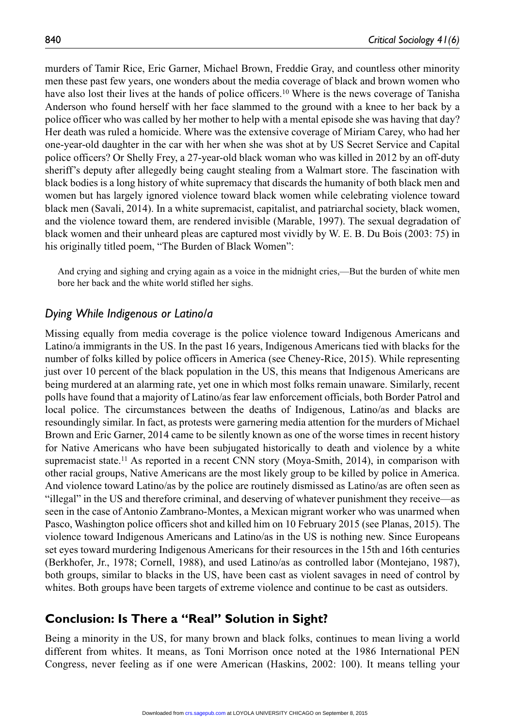murders of Tamir Rice, Eric Garner, Michael Brown, Freddie Gray, and countless other minority men these past few years, one wonders about the media coverage of black and brown women who have also lost their lives at the hands of police officers.<sup>10</sup> Where is the news coverage of Tanisha Anderson who found herself with her face slammed to the ground with a knee to her back by a police officer who was called by her mother to help with a mental episode she was having that day? Her death was ruled a homicide. Where was the extensive coverage of Miriam Carey, who had her one-year-old daughter in the car with her when she was shot at by US Secret Service and Capital police officers? Or Shelly Frey, a 27-year-old black woman who was killed in 2012 by an off-duty sheriff's deputy after allegedly being caught stealing from a Walmart store. The fascination with black bodies is a long history of white supremacy that discards the humanity of both black men and women but has largely ignored violence toward black women while celebrating violence toward black men (Savali, 2014). In a white supremacist, capitalist, and patriarchal society, black women, and the violence toward them, are rendered invisible (Marable, 1997). The sexual degradation of black women and their unheard pleas are captured most vividly by W. E. B. Du Bois (2003: 75) in his originally titled poem, "The Burden of Black Women":

And crying and sighing and crying again as a voice in the midnight cries,—But the burden of white men bore her back and the white world stifled her sighs.

## *Dying While Indigenous or Latino/a*

Missing equally from media coverage is the police violence toward Indigenous Americans and Latino/a immigrants in the US. In the past 16 years, Indigenous Americans tied with blacks for the number of folks killed by police officers in America (see Cheney-Rice, 2015). While representing just over 10 percent of the black population in the US, this means that Indigenous Americans are being murdered at an alarming rate, yet one in which most folks remain unaware. Similarly, recent polls have found that a majority of Latino/as fear law enforcement officials, both Border Patrol and local police. The circumstances between the deaths of Indigenous, Latino/as and blacks are resoundingly similar. In fact, as protests were garnering media attention for the murders of Michael Brown and Eric Garner, 2014 came to be silently known as one of the worse times in recent history for Native Americans who have been subjugated historically to death and violence by a white supremacist state.<sup>11</sup> As reported in a recent CNN story (Moya-Smith, 2014), in comparison with other racial groups, Native Americans are the most likely group to be killed by police in America. And violence toward Latino/as by the police are routinely dismissed as Latino/as are often seen as "illegal" in the US and therefore criminal, and deserving of whatever punishment they receive—as seen in the case of Antonio Zambrano-Montes, a Mexican migrant worker who was unarmed when Pasco, Washington police officers shot and killed him on 10 February 2015 (see Planas, 2015). The violence toward Indigenous Americans and Latino/as in the US is nothing new. Since Europeans set eyes toward murdering Indigenous Americans for their resources in the 15th and 16th centuries (Berkhofer, Jr., 1978; Cornell, 1988), and used Latino/as as controlled labor (Montejano, 1987), both groups, similar to blacks in the US, have been cast as violent savages in need of control by whites. Both groups have been targets of extreme violence and continue to be cast as outsiders.

## **Conclusion: Is There a "Real" Solution in Sight?**

Being a minority in the US, for many brown and black folks, continues to mean living a world different from whites. It means, as Toni Morrison once noted at the 1986 International PEN Congress, never feeling as if one were American (Haskins, 2002: 100). It means telling your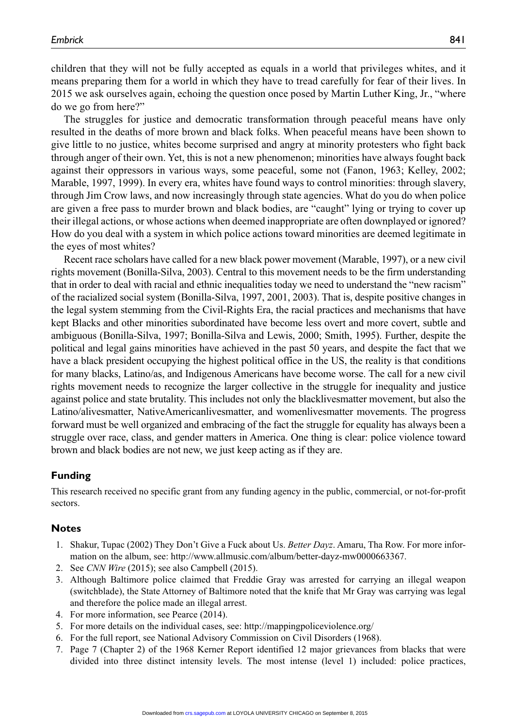children that they will not be fully accepted as equals in a world that privileges whites, and it means preparing them for a world in which they have to tread carefully for fear of their lives. In 2015 we ask ourselves again, echoing the question once posed by Martin Luther King, Jr., "where do we go from here?"

The struggles for justice and democratic transformation through peaceful means have only resulted in the deaths of more brown and black folks. When peaceful means have been shown to give little to no justice, whites become surprised and angry at minority protesters who fight back through anger of their own. Yet, this is not a new phenomenon; minorities have always fought back against their oppressors in various ways, some peaceful, some not (Fanon, 1963; Kelley, 2002; Marable, 1997, 1999). In every era, whites have found ways to control minorities: through slavery, through Jim Crow laws, and now increasingly through state agencies. What do you do when police are given a free pass to murder brown and black bodies, are "caught" lying or trying to cover up their illegal actions, or whose actions when deemed inappropriate are often downplayed or ignored? How do you deal with a system in which police actions toward minorities are deemed legitimate in the eyes of most whites?

Recent race scholars have called for a new black power movement (Marable, 1997), or a new civil rights movement (Bonilla-Silva, 2003). Central to this movement needs to be the firm understanding that in order to deal with racial and ethnic inequalities today we need to understand the "new racism" of the racialized social system (Bonilla-Silva, 1997, 2001, 2003). That is, despite positive changes in the legal system stemming from the Civil-Rights Era, the racial practices and mechanisms that have kept Blacks and other minorities subordinated have become less overt and more covert, subtle and ambiguous (Bonilla-Silva, 1997; Bonilla-Silva and Lewis, 2000; Smith, 1995). Further, despite the political and legal gains minorities have achieved in the past 50 years, and despite the fact that we have a black president occupying the highest political office in the US, the reality is that conditions for many blacks, Latino/as, and Indigenous Americans have become worse. The call for a new civil rights movement needs to recognize the larger collective in the struggle for inequality and justice against police and state brutality. This includes not only the blacklivesmatter movement, but also the Latino/alivesmatter, NativeAmericanlivesmatter, and womenlivesmatter movements. The progress forward must be well organized and embracing of the fact the struggle for equality has always been a struggle over race, class, and gender matters in America. One thing is clear: police violence toward brown and black bodies are not new, we just keep acting as if they are.

## **Funding**

This research received no specific grant from any funding agency in the public, commercial, or not-for-profit sectors.

### **Notes**

- 1. Shakur, Tupac (2002) They Don't Give a Fuck about Us. *Better Dayz*. Amaru, Tha Row. For more information on the album, see:<http://www.allmusic.com/album/better-dayz-mw0000663367>.
- 2. See *CNN Wire* (2015); see also Campbell (2015).
- 3. Although Baltimore police claimed that Freddie Gray was arrested for carrying an illegal weapon (switchblade), the State Attorney of Baltimore noted that the knife that Mr Gray was carrying was legal and therefore the police made an illegal arrest.
- 4. For more information, see Pearce (2014).
- 5. For more details on the individual cases, see:<http://mappingpoliceviolence.org/>
- 6. For the full report, see National Advisory Commission on Civil Disorders (1968).
- 7. Page 7 (Chapter 2) of the 1968 Kerner Report identified 12 major grievances from blacks that were divided into three distinct intensity levels. The most intense (level 1) included: police practices,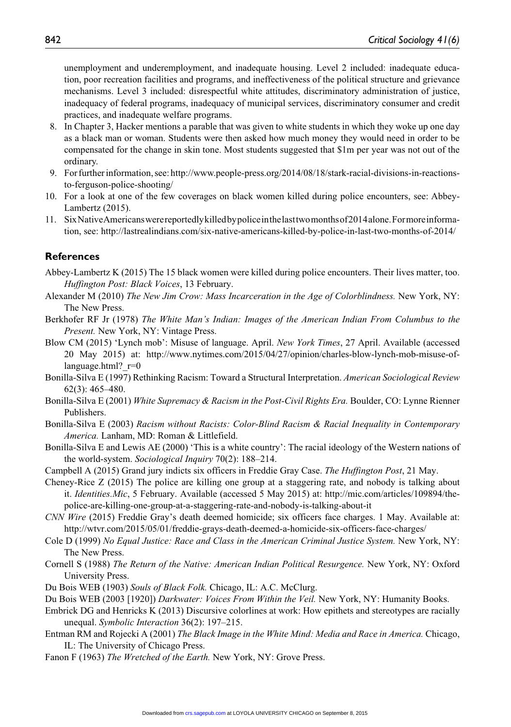unemployment and underemployment, and inadequate housing. Level 2 included: inadequate education, poor recreation facilities and programs, and ineffectiveness of the political structure and grievance mechanisms. Level 3 included: disrespectful white attitudes, discriminatory administration of justice, inadequacy of federal programs, inadequacy of municipal services, discriminatory consumer and credit practices, and inadequate welfare programs.

- 8. In Chapter 3, Hacker mentions a parable that was given to white students in which they woke up one day as a black man or woman. Students were then asked how much money they would need in order to be compensated for the change in skin tone. Most students suggested that \$1m per year was not out of the ordinary.
- 9. For further information, see: [http://www.people-press.org/2014/08/18/stark-racial-divisions-in-reactions](http://www.people-press.org/2014/08/18/stark-racial-divisions-in-reactions-to-ferguson-police-shooting/)[to-ferguson-police-shooting/](http://www.people-press.org/2014/08/18/stark-racial-divisions-in-reactions-to-ferguson-police-shooting/)
- 10. For a look at one of the few coverages on black women killed during police encounters, see: Abbey-Lambertz (2015).
- 11. Six Native Americans were reportedly killed by police in the last two months of 2014 alone. For more information, see:<http://lastrealindians.com/six-native-americans-killed-by-police-in-last-two-months-of-2014/>

#### **References**

- Abbey-Lambertz K (2015) The 15 black women were killed during police encounters. Their lives matter, too. *Huffington Post: Black Voices*, 13 February.
- Alexander M (2010) *The New Jim Crow: Mass Incarceration in the Age of Colorblindness.* New York, NY: The New Press.
- Berkhofer RF Jr (1978) *The White Man's Indian: Images of the American Indian From Columbus to the Present.* New York, NY: Vintage Press.
- Blow CM (2015) 'Lynch mob': Misuse of language. April. *New York Times*, 27 April. Available (accessed 20 May 2015) at: [http://www.nytimes.com/2015/04/27/opinion/charles-blow-lynch-mob-misuse-of](http://www.nytimes.com/2015/04/27/opinion/charles-blow-lynch-mob-misuse-of-language.html?_r=0)language.html? $r=0$
- Bonilla-Silva E (1997) Rethinking Racism: Toward a Structural Interpretation. *American Sociological Review* 62(3): 465–480.
- Bonilla-Silva E (2001) *White Supremacy & Racism in the Post-Civil Rights Era.* Boulder, CO: Lynne Rienner Publishers.
- Bonilla-Silva E (2003) *Racism without Racists: Color-Blind Racism & Racial Inequality in Contemporary America.* Lanham, MD: Roman & Littlefield.
- Bonilla-Silva E and Lewis AE (2000) 'This is a white country': The racial ideology of the Western nations of the world-system. *Sociological Inquiry* 70(2): 188–214.
- Campbell A (2015) Grand jury indicts six officers in Freddie Gray Case. *The Huffington Post*, 21 May.
- Cheney-Rice Z (2015) The police are killing one group at a staggering rate, and nobody is talking about it. *Identities.Mic*, 5 February. Available (accessed 5 May 2015) at: [http://mic.com/articles/109894/the](http://mic.com/articles/109894/the-police-are-killing-one-group-at-a-staggering-rate-and-nobody-is-talking-about-it)[police-are-killing-one-group-at-a-staggering-rate-and-nobody-is-talking-about-it](http://mic.com/articles/109894/the-police-are-killing-one-group-at-a-staggering-rate-and-nobody-is-talking-about-it)
- *CNN Wire* (2015) Freddie Gray's death deemed homicide; six officers face charges. 1 May. Available at: <http://wtvr.com/2015/05/01/freddie-grays-death-deemed-a-homicide-six-officers-face-charges/>
- Cole D (1999) *No Equal Justice: Race and Class in the American Criminal Justice System.* New York, NY: The New Press.
- Cornell S (1988) *The Return of the Native: American Indian Political Resurgence.* New York, NY: Oxford University Press.
- Du Bois WEB (1903) *Souls of Black Folk.* Chicago, IL: A.C. McClurg.
- Du Bois WEB (2003 [1920]) *Darkwater: Voices From Within the Veil.* New York, NY: Humanity Books.
- Embrick DG and Henricks K (2013) Discursive colorlines at work: How epithets and stereotypes are racially unequal. *Symbolic Interaction* 36(2): 197–215.
- Entman RM and Rojecki A (2001) *The Black Image in the White Mind: Media and Race in America.* Chicago, IL: The University of Chicago Press.
- Fanon F (1963) *The Wretched of the Earth.* New York, NY: Grove Press.